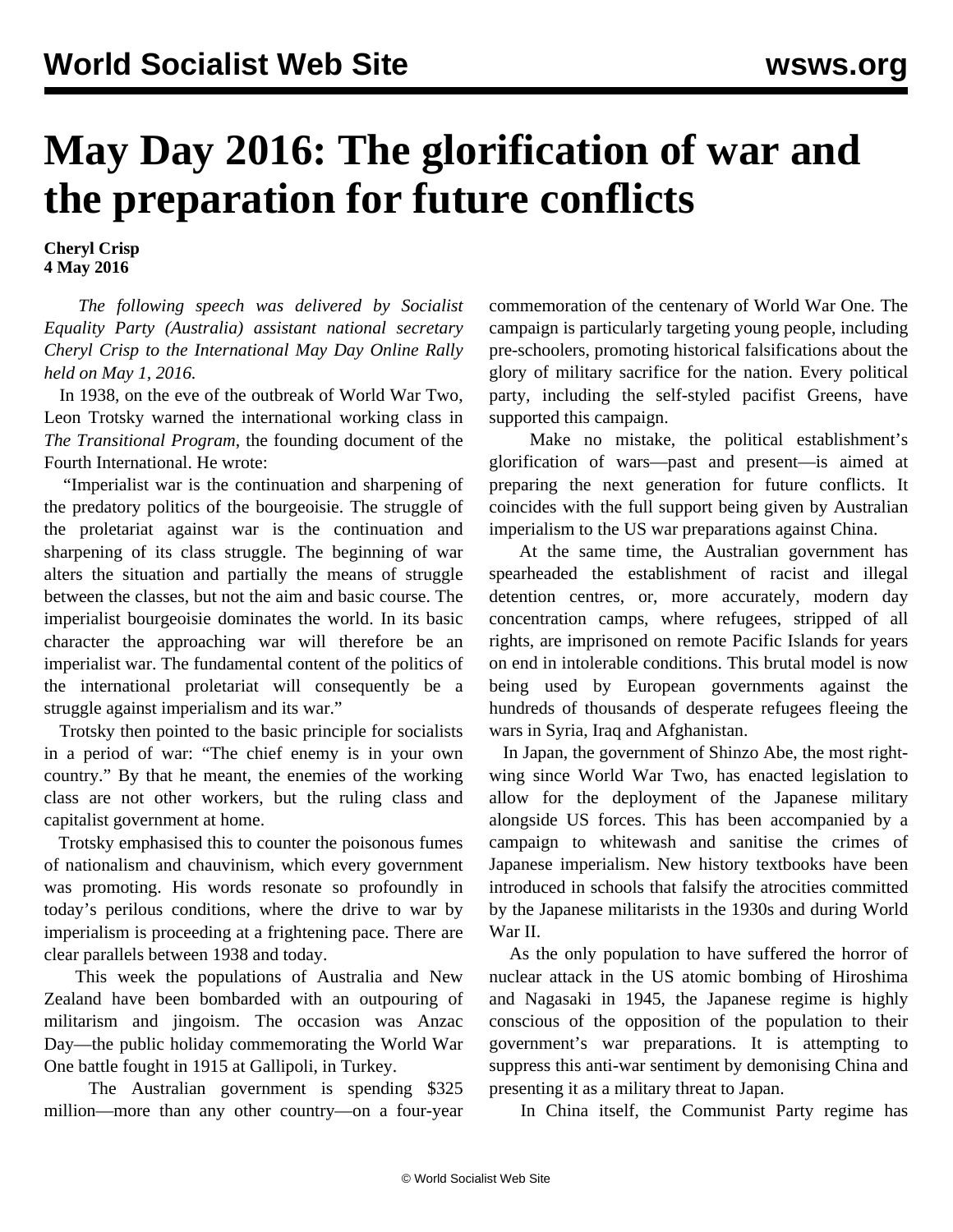## **May Day 2016: The glorification of war and the preparation for future conflicts**

**Cheryl Crisp 4 May 2016**

 *The following speech was delivered by Socialist Equality Party (Australia) assistant national secretary Cheryl Crisp to the International May Day Online Rally held on May 1, 2016.*

 In 1938, on the eve of the outbreak of World War Two, Leon Trotsky warned the international working class in *The Transitional Program*, the founding document of the Fourth International. He wrote:

 "Imperialist war is the continuation and sharpening of the predatory politics of the bourgeoisie. The struggle of the proletariat against war is the continuation and sharpening of its class struggle. The beginning of war alters the situation and partially the means of struggle between the classes, but not the aim and basic course. The imperialist bourgeoisie dominates the world. In its basic character the approaching war will therefore be an imperialist war. The fundamental content of the politics of the international proletariat will consequently be a struggle against imperialism and its war."

 Trotsky then pointed to the basic principle for socialists in a period of war: "The chief enemy is in your own country." By that he meant, the enemies of the working class are not other workers, but the ruling class and capitalist government at home.

 Trotsky emphasised this to counter the poisonous fumes of nationalism and chauvinism, which every government was promoting. His words resonate so profoundly in today's perilous conditions, where the drive to war by imperialism is proceeding at a frightening pace. There are clear parallels between 1938 and today.

 This week the populations of Australia and New Zealand have been bombarded with an outpouring of militarism and jingoism. The occasion was Anzac Day—the public holiday commemorating the World War One battle fought in 1915 at Gallipoli, in Turkey.

 The Australian government is spending \$325 million—more than any other country—on a four-year commemoration of the centenary of World War One. The campaign is particularly targeting young people, including pre-schoolers, promoting historical falsifications about the glory of military sacrifice for the nation. Every political party, including the self-styled pacifist Greens, have supported this campaign.

 Make no mistake, the political establishment's glorification of wars—past and present—is aimed at preparing the next generation for future conflicts. It coincides with the full support being given by Australian imperialism to the US war preparations against China.

 At the same time, the Australian government has spearheaded the establishment of racist and illegal detention centres, or, more accurately, modern day concentration camps, where refugees, stripped of all rights, are imprisoned on remote Pacific Islands for years on end in intolerable conditions. This brutal model is now being used by European governments against the hundreds of thousands of desperate refugees fleeing the wars in Syria, Iraq and Afghanistan.

 In Japan, the government of Shinzo Abe, the most rightwing since World War Two, has enacted legislation to allow for the deployment of the Japanese military alongside US forces. This has been accompanied by a campaign to whitewash and sanitise the crimes of Japanese imperialism. New history textbooks have been introduced in schools that falsify the atrocities committed by the Japanese militarists in the 1930s and during World War II.

 As the only population to have suffered the horror of nuclear attack in the US atomic bombing of Hiroshima and Nagasaki in 1945, the Japanese regime is highly conscious of the opposition of the population to their government's war preparations. It is attempting to suppress this anti-war sentiment by demonising China and presenting it as a military threat to Japan.

In China itself, the Communist Party regime has